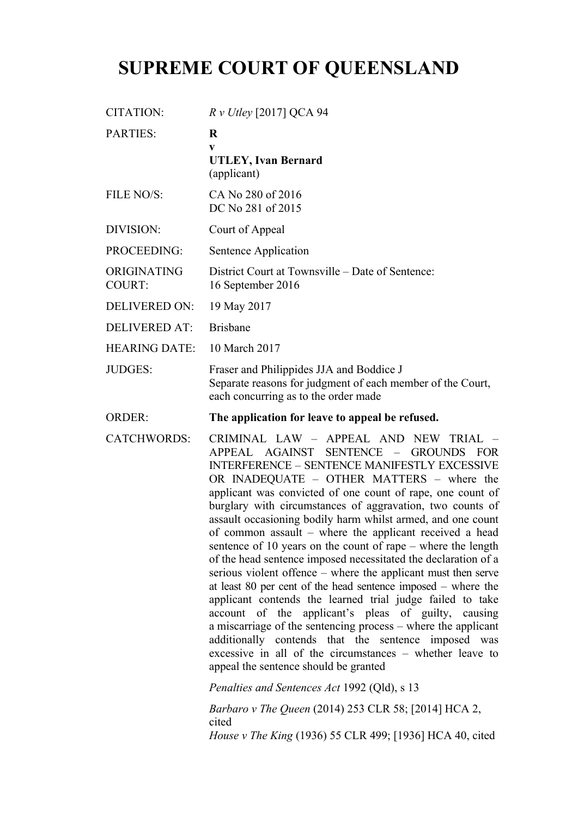# **SUPREME COURT OF QUEENSLAND**

| CITATION:                    | $R v$ Utley [2017] QCA 94                                                                                                                                                                                                                                                                                                                                                                                                                                                                                                                                                                                                                                                                                                                                                                                                                                                                                                                                                                                                                                                                                                                                              |
|------------------------------|------------------------------------------------------------------------------------------------------------------------------------------------------------------------------------------------------------------------------------------------------------------------------------------------------------------------------------------------------------------------------------------------------------------------------------------------------------------------------------------------------------------------------------------------------------------------------------------------------------------------------------------------------------------------------------------------------------------------------------------------------------------------------------------------------------------------------------------------------------------------------------------------------------------------------------------------------------------------------------------------------------------------------------------------------------------------------------------------------------------------------------------------------------------------|
| <b>PARTIES:</b>              | $\bf{R}$<br>V<br><b>UTLEY, Ivan Bernard</b><br>(applicant)                                                                                                                                                                                                                                                                                                                                                                                                                                                                                                                                                                                                                                                                                                                                                                                                                                                                                                                                                                                                                                                                                                             |
| FILE NO/S:                   | CA No 280 of 2016<br>DC No 281 of 2015                                                                                                                                                                                                                                                                                                                                                                                                                                                                                                                                                                                                                                                                                                                                                                                                                                                                                                                                                                                                                                                                                                                                 |
| <b>DIVISION:</b>             | Court of Appeal                                                                                                                                                                                                                                                                                                                                                                                                                                                                                                                                                                                                                                                                                                                                                                                                                                                                                                                                                                                                                                                                                                                                                        |
| PROCEEDING:                  | Sentence Application                                                                                                                                                                                                                                                                                                                                                                                                                                                                                                                                                                                                                                                                                                                                                                                                                                                                                                                                                                                                                                                                                                                                                   |
| ORIGINATING<br><b>COURT:</b> | District Court at Townsville – Date of Sentence:<br>16 September 2016                                                                                                                                                                                                                                                                                                                                                                                                                                                                                                                                                                                                                                                                                                                                                                                                                                                                                                                                                                                                                                                                                                  |
| <b>DELIVERED ON:</b>         | 19 May 2017                                                                                                                                                                                                                                                                                                                                                                                                                                                                                                                                                                                                                                                                                                                                                                                                                                                                                                                                                                                                                                                                                                                                                            |
| <b>DELIVERED AT:</b>         | <b>Brisbane</b>                                                                                                                                                                                                                                                                                                                                                                                                                                                                                                                                                                                                                                                                                                                                                                                                                                                                                                                                                                                                                                                                                                                                                        |
| <b>HEARING DATE:</b>         | 10 March 2017                                                                                                                                                                                                                                                                                                                                                                                                                                                                                                                                                                                                                                                                                                                                                                                                                                                                                                                                                                                                                                                                                                                                                          |
| <b>JUDGES:</b>               | Fraser and Philippides JJA and Boddice J<br>Separate reasons for judgment of each member of the Court,<br>each concurring as to the order made                                                                                                                                                                                                                                                                                                                                                                                                                                                                                                                                                                                                                                                                                                                                                                                                                                                                                                                                                                                                                         |
| <b>ORDER:</b>                | The application for leave to appeal be refused.                                                                                                                                                                                                                                                                                                                                                                                                                                                                                                                                                                                                                                                                                                                                                                                                                                                                                                                                                                                                                                                                                                                        |
| <b>CATCHWORDS:</b>           | CRIMINAL LAW - APPEAL AND NEW TRIAL<br>APPEAL AGAINST<br><b>SENTENCE</b><br><b>GROUNDS</b><br><b>FOR</b><br>$\overline{\phantom{m}}$<br><b>INTERFERENCE - SENTENCE MANIFESTLY EXCESSIVE</b><br>OR INADEQUATE - OTHER MATTERS - where the<br>applicant was convicted of one count of rape, one count of<br>burglary with circumstances of aggravation, two counts of<br>assault occasioning bodily harm whilst armed, and one count<br>of common assault – where the applicant received a head<br>sentence of 10 years on the count of rape $-$ where the length<br>of the head sentence imposed necessitated the declaration of a<br>serious violent offence - where the applicant must then serve<br>at least 80 per cent of the head sentence imposed $-$ where the<br>applicant contends the learned trial judge failed to take<br>account of the applicant's pleas of guilty, causing<br>a miscarriage of the sentencing process – where the applicant<br>additionally contends that the sentence imposed was<br>excessive in all of the circumstances - whether leave to<br>appeal the sentence should be granted<br>Penalties and Sentences Act 1992 (Qld), s 13 |
|                              | <i>Barbaro v The Queen</i> (2014) 253 CLR 58; [2014] HCA 2,                                                                                                                                                                                                                                                                                                                                                                                                                                                                                                                                                                                                                                                                                                                                                                                                                                                                                                                                                                                                                                                                                                            |
|                              | cited<br>House v The King (1936) 55 CLR 499; [1936] HCA 40, cited                                                                                                                                                                                                                                                                                                                                                                                                                                                                                                                                                                                                                                                                                                                                                                                                                                                                                                                                                                                                                                                                                                      |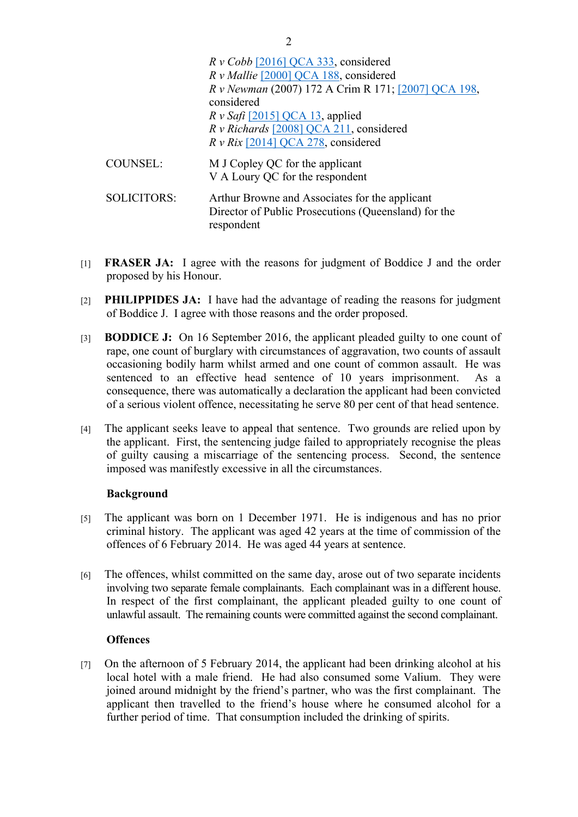|                    | $R \nu \cosh$ [2016] QCA 333, considered<br>R v Mallie [2000] QCA 188, considered<br>R v Newman (2007) 172 A Crim R 171; [2007] QCA 198,<br>considered<br>$R v$ Safi [2015] QCA 13, applied<br>R v Richards [2008] QCA 211, considered<br>$R v Rix$ [2014] QCA 278, considered |
|--------------------|--------------------------------------------------------------------------------------------------------------------------------------------------------------------------------------------------------------------------------------------------------------------------------|
| <b>COUNSEL:</b>    | M J Copley QC for the applicant<br>V A Loury QC for the respondent                                                                                                                                                                                                             |
| <b>SOLICITORS:</b> | Arthur Browne and Associates for the applicant<br>Director of Public Prosecutions (Queensland) for the<br>respondent                                                                                                                                                           |

- [1] **FRASER JA:** I agree with the reasons for judgment of Boddice J and the order proposed by his Honour.
- [2] **PHILIPPIDES JA:** I have had the advantage of reading the reasons for judgment of Boddice J. I agree with those reasons and the order proposed.
- [3] **BODDICE J:** On 16 September 2016, the applicant pleaded guilty to one count of rape, one count of burglary with circumstances of aggravation, two counts of assault occasioning bodily harm whilst armed and one count of common assault. He was sentenced to an effective head sentence of 10 years imprisonment. As a consequence, there was automatically a declaration the applicant had been convicted of a serious violent offence, necessitating he serve 80 per cent of that head sentence.
- [4] The applicant seeks leave to appeal that sentence. Two grounds are relied upon by the applicant. First, the sentencing judge failed to appropriately recognise the pleas of guilty causing a miscarriage of the sentencing process. Second, the sentence imposed was manifestly excessive in all the circumstances.

#### **Background**

- [5] The applicant was born on 1 December 1971. He is indigenous and has no prior criminal history. The applicant was aged 42 years at the time of commission of the offences of 6 February 2014. He was aged 44 years at sentence.
- [6] The offences, whilst committed on the same day, arose out of two separate incidents involving two separate female complainants. Each complainant was in a different house. In respect of the first complainant, the applicant pleaded guilty to one count of unlawful assault. The remaining counts were committed against the second complainant.

#### **Offences**

[7] On the afternoon of 5 February 2014, the applicant had been drinking alcohol at his local hotel with a male friend. He had also consumed some Valium. They were joined around midnight by the friend's partner, who was the first complainant. The applicant then travelled to the friend's house where he consumed alcohol for a further period of time. That consumption included the drinking of spirits.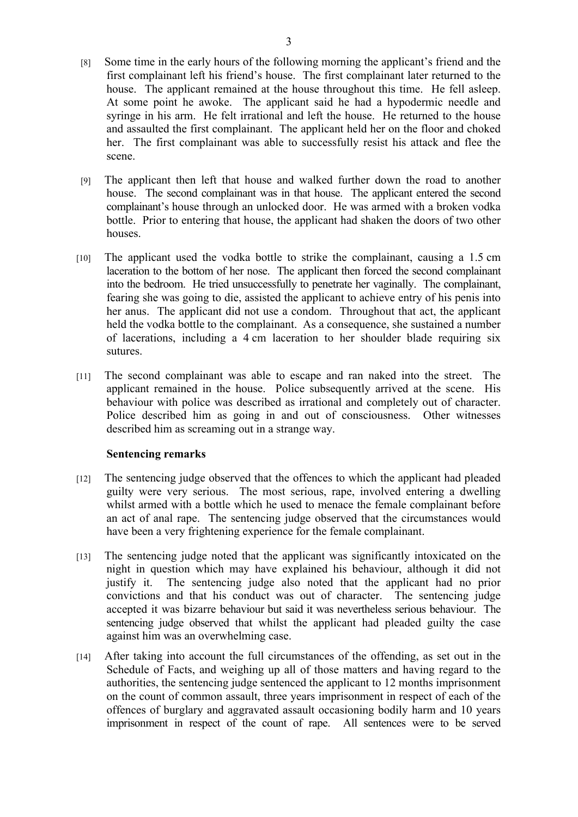- [8] Some time in the early hours of the following morning the applicant's friend and the first complainant left his friend's house. The first complainant later returned to the house. The applicant remained at the house throughout this time. He fell asleep. At some point he awoke. The applicant said he had a hypodermic needle and syringe in his arm. He felt irrational and left the house. He returned to the house and assaulted the first complainant. The applicant held her on the floor and choked her. The first complainant was able to successfully resist his attack and flee the scene.
- [9] The applicant then left that house and walked further down the road to another house. The second complainant was in that house. The applicant entered the second complainant's house through an unlocked door. He was armed with a broken vodka bottle. Prior to entering that house, the applicant had shaken the doors of two other houses.
- [10] The applicant used the vodka bottle to strike the complainant, causing a 1.5 cm laceration to the bottom of her nose. The applicant then forced the second complainant into the bedroom. He tried unsuccessfully to penetrate her vaginally. The complainant, fearing she was going to die, assisted the applicant to achieve entry of his penis into her anus. The applicant did not use a condom. Throughout that act, the applicant held the vodka bottle to the complainant. As a consequence, she sustained a number of lacerations, including a 4 cm laceration to her shoulder blade requiring six sutures.
- [11] The second complainant was able to escape and ran naked into the street. The applicant remained in the house. Police subsequently arrived at the scene. His behaviour with police was described as irrational and completely out of character. Police described him as going in and out of consciousness. Other witnesses described him as screaming out in a strange way.

#### **Sentencing remarks**

- [12] The sentencing judge observed that the offences to which the applicant had pleaded guilty were very serious. The most serious, rape, involved entering a dwelling whilst armed with a bottle which he used to menace the female complainant before an act of anal rape. The sentencing judge observed that the circumstances would have been a very frightening experience for the female complainant.
- [13] The sentencing judge noted that the applicant was significantly intoxicated on the night in question which may have explained his behaviour, although it did not justify it. The sentencing judge also noted that the applicant had no prior convictions and that his conduct was out of character. The sentencing judge accepted it was bizarre behaviour but said it was nevertheless serious behaviour. The sentencing judge observed that whilst the applicant had pleaded guilty the case against him was an overwhelming case.
- [14] After taking into account the full circumstances of the offending, as set out in the Schedule of Facts, and weighing up all of those matters and having regard to the authorities, the sentencing judge sentenced the applicant to 12 months imprisonment on the count of common assault, three years imprisonment in respect of each of the offences of burglary and aggravated assault occasioning bodily harm and 10 years imprisonment in respect of the count of rape. All sentences were to be served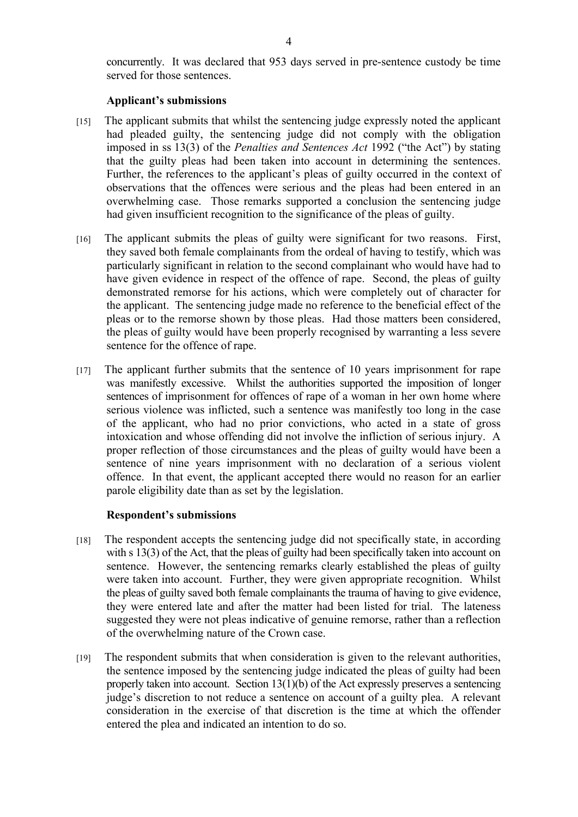concurrently. It was declared that 953 days served in pre-sentence custody be time served for those sentences.

#### **Applicant's submissions**

- [15] The applicant submits that whilst the sentencing judge expressly noted the applicant had pleaded guilty, the sentencing judge did not comply with the obligation imposed in ss 13(3) of the *Penalties and Sentences Act* 1992 ("the Act") by stating that the guilty pleas had been taken into account in determining the sentences. Further, the references to the applicant's pleas of guilty occurred in the context of observations that the offences were serious and the pleas had been entered in an overwhelming case. Those remarks supported a conclusion the sentencing judge had given insufficient recognition to the significance of the pleas of guilty.
- [16] The applicant submits the pleas of guilty were significant for two reasons. First, they saved both female complainants from the ordeal of having to testify, which was particularly significant in relation to the second complainant who would have had to have given evidence in respect of the offence of rape. Second, the pleas of guilty demonstrated remorse for his actions, which were completely out of character for the applicant. The sentencing judge made no reference to the beneficial effect of the pleas or to the remorse shown by those pleas. Had those matters been considered, the pleas of guilty would have been properly recognised by warranting a less severe sentence for the offence of rape.
- [17] The applicant further submits that the sentence of 10 years imprisonment for rape was manifestly excessive. Whilst the authorities supported the imposition of longer sentences of imprisonment for offences of rape of a woman in her own home where serious violence was inflicted, such a sentence was manifestly too long in the case of the applicant, who had no prior convictions, who acted in a state of gross intoxication and whose offending did not involve the infliction of serious injury. A proper reflection of those circumstances and the pleas of guilty would have been a sentence of nine years imprisonment with no declaration of a serious violent offence. In that event, the applicant accepted there would no reason for an earlier parole eligibility date than as set by the legislation.

#### **Respondent's submissions**

- [18] The respondent accepts the sentencing judge did not specifically state, in according with s 13(3) of the Act, that the pleas of guilty had been specifically taken into account on sentence. However, the sentencing remarks clearly established the pleas of guilty were taken into account. Further, they were given appropriate recognition. Whilst the pleas of guilty saved both female complainants the trauma of having to give evidence, they were entered late and after the matter had been listed for trial. The lateness suggested they were not pleas indicative of genuine remorse, rather than a reflection of the overwhelming nature of the Crown case.
- [19] The respondent submits that when consideration is given to the relevant authorities, the sentence imposed by the sentencing judge indicated the pleas of guilty had been properly taken into account. Section 13(1)(b) of the Act expressly preserves a sentencing judge's discretion to not reduce a sentence on account of a guilty plea. A relevant consideration in the exercise of that discretion is the time at which the offender entered the plea and indicated an intention to do so.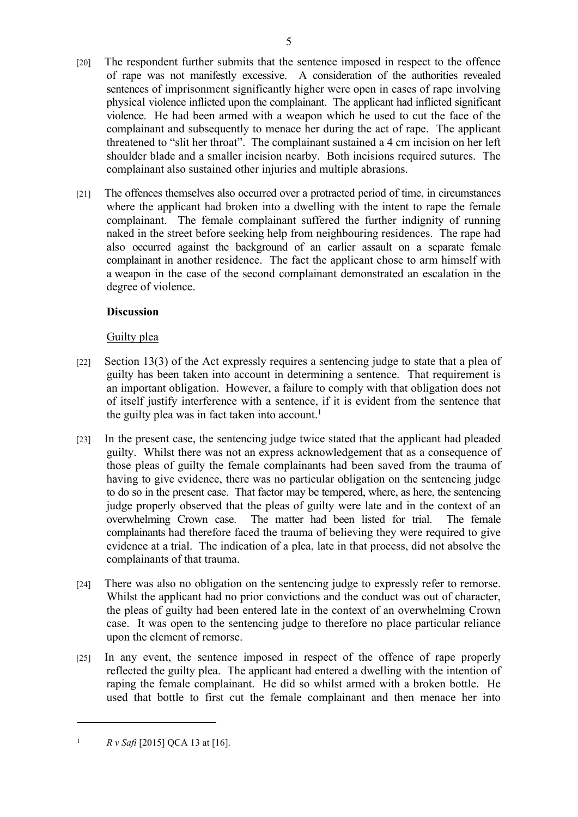- physical violence inflicted upon the complainant. The applicant had inflicted significant violence. He had been armed with a weapon which he used to cut the face of the complainant and subsequently to menace her during the act of rape. The applicant threatened to "slit her throat". The complainant sustained a 4 cm incision on her left shoulder blade and a smaller incision nearby. Both incisions required sutures. The complainant also sustained other injuries and multiple abrasions.
- [21] The offences themselves also occurred over a protracted period of time, in circumstances where the applicant had broken into a dwelling with the intent to rape the female complainant. The female complainant suffered the further indignity of running naked in the street before seeking help from neighbouring residences. The rape had also occurred against the background of an earlier assault on a separate female complainant in another residence. The fact the applicant chose to arm himself with a weapon in the case of the second complainant demonstrated an escalation in the degree of violence.

## **Discussion**

## Guilty plea

- [22] Section 13(3) of the Act expressly requires a sentencing judge to state that a plea of guilty has been taken into account in determining a sentence. That requirement is an important obligation. However, a failure to comply with that obligation does not of itself justify interference with a sentence, if it is evident from the sentence that the guilty plea was in fact taken into account.<sup>1</sup>
- [23] In the present case, the sentencing judge twice stated that the applicant had pleaded guilty. Whilst there was not an express acknowledgement that as a consequence of those pleas of guilty the female complainants had been saved from the trauma of having to give evidence, there was no particular obligation on the sentencing judge to do so in the present case. That factor may be tempered, where, as here, the sentencing judge properly observed that the pleas of guilty were late and in the context of an overwhelming Crown case. The matter had been listed for trial. The female complainants had therefore faced the trauma of believing they were required to give evidence at a trial. The indication of a plea, late in that process, did not absolve the complainants of that trauma.
- [24] There was also no obligation on the sentencing judge to expressly refer to remorse. Whilst the applicant had no prior convictions and the conduct was out of character, the pleas of guilty had been entered late in the context of an overwhelming Crown case. It was open to the sentencing judge to therefore no place particular reliance upon the element of remorse.
- [25] In any event, the sentence imposed in respect of the offence of rape properly reflected the guilty plea. The applicant had entered a dwelling with the intention of raping the female complainant. He did so whilst armed with a broken bottle. He used that bottle to first cut the female complainant and then menace her into

<sup>&</sup>lt;sup>1</sup> *R v Safi* [2015] QCA 13 at [16].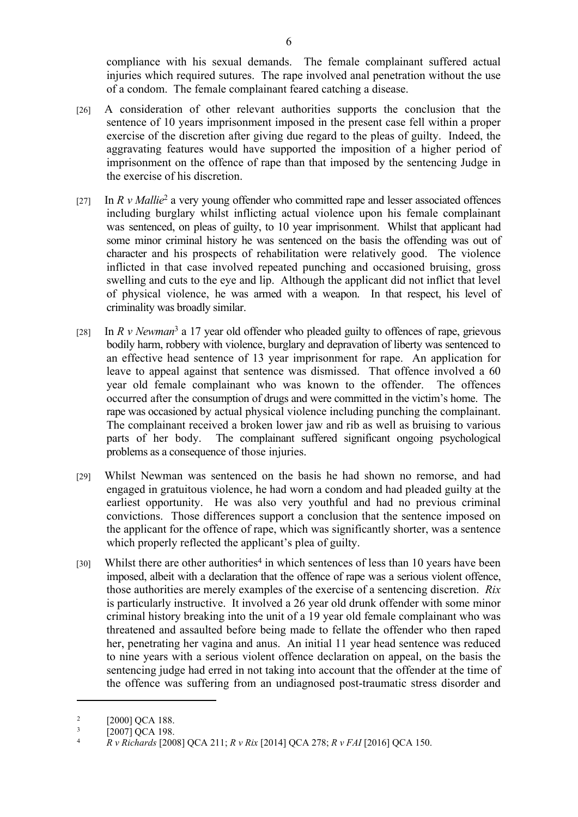compliance with his sexual demands. The female complainant suffered actual injuries which required sutures. The rape involved anal penetration without the use of a condom. The female complainant feared catching a disease.

- [26] A consideration of other relevant authorities supports the conclusion that the sentence of 10 years imprisonment imposed in the present case fell within a proper exercise of the discretion after giving due regard to the pleas of guilty. Indeed, the aggravating features would have supported the imposition of a higher period of imprisonment on the offence of rape than that imposed by the sentencing Judge in the exercise of his discretion.
- [27] In *R v Mallie<sup>2</sup>* a very young offender who committed rape and lesser associated offences including burglary whilst inflicting actual violence upon his female complainant was sentenced, on pleas of guilty, to 10 year imprisonment. Whilst that applicant had some minor criminal history he was sentenced on the basis the offending was out of character and his prospects of rehabilitation were relatively good. The violence inflicted in that case involved repeated punching and occasioned bruising, gross swelling and cuts to the eye and lip. Although the applicant did not inflict that level of physical violence, he was armed with a weapon. In that respect, his level of criminality was broadly similar.
- [28] In *R v Newman*<sup>3</sup> a 17 year old offender who pleaded guilty to offences of rape, grievous bodily harm, robbery with violence, burglary and depravation of liberty was sentenced to an effective head sentence of 13 year imprisonment for rape. An application for leave to appeal against that sentence was dismissed. That offence involved a 60 year old female complainant who was known to the offender. The offences occurred after the consumption of drugs and were committed in the victim's home. The rape was occasioned by actual physical violence including punching the complainant. The complainant received a broken lower jaw and rib as well as bruising to various parts of her body. The complainant suffered significant ongoing psychological problems as a consequence of those injuries.
- [29] Whilst Newman was sentenced on the basis he had shown no remorse, and had engaged in gratuitous violence, he had worn a condom and had pleaded guilty at the earliest opportunity. He was also very youthful and had no previous criminal convictions. Those differences support a conclusion that the sentence imposed on the applicant for the offence of rape, which was significantly shorter, was a sentence which properly reflected the applicant's plea of guilty.
- [30] Whilst there are other authorities<sup>4</sup> in which sentences of less than 10 years have been imposed, albeit with a declaration that the offence of rape was a serious violent offence, those authorities are merely examples of the exercise of a sentencing discretion. *Rix* is particularly instructive. It involved a 26 year old drunk offender with some minor criminal history breaking into the unit of a 19 year old female complainant who was threatened and assaulted before being made to fellate the offender who then raped her, penetrating her vagina and anus. An initial 11 year head sentence was reduced to nine years with a serious violent offence declaration on appeal, on the basis the sentencing judge had erred in not taking into account that the offender at the time of the offence was suffering from an undiagnosed post-traumatic stress disorder and

<sup>2</sup> [2000] OCA 188.

<sup>3</sup>  $\frac{3}{4}$  [2007] QCA 198.

<sup>4</sup> *R v Richards* [2008] QCA 211; *R v Rix* [2014] QCA 278; *R v FAI* [2016] QCA 150.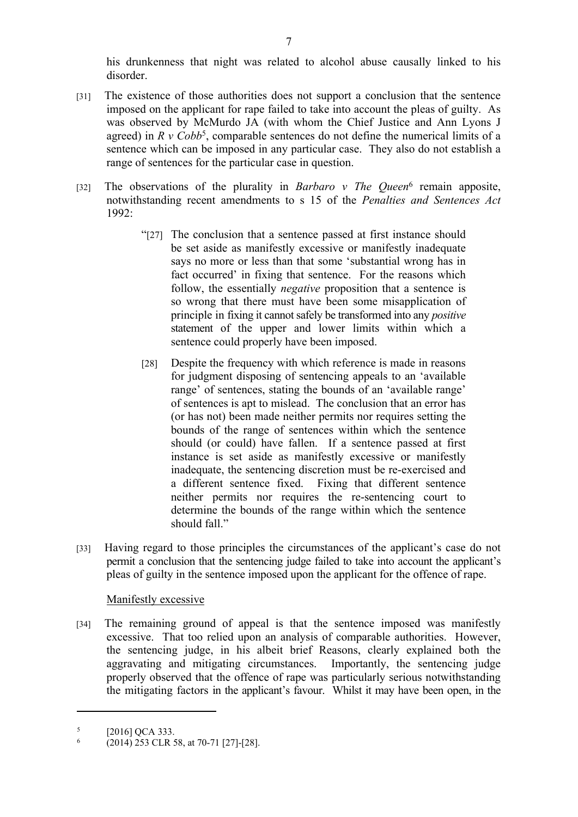his drunkenness that night was related to alcohol abuse causally linked to his disorder.

- [31] The existence of those authorities does not support a conclusion that the sentence imposed on the applicant for rape failed to take into account the pleas of guilty. As was observed by McMurdo JA (with whom the Chief Justice and Ann Lyons J agreed) in  $R \vee Cob^5$ , comparable sentences do not define the numerical limits of a sentence which can be imposed in any particular case. They also do not establish a range of sentences for the particular case in question.
- [32] The observations of the plurality in *Barbaro v The Queen*<sup>6</sup> remain apposite, notwithstanding recent amendments to s 15 of the *Penalties and Sentences Act* 1992:
	- "[27] The conclusion that a sentence passed at first instance should be set aside as manifestly excessive or manifestly inadequate says no more or less than that some 'substantial wrong has in fact occurred' in fixing that sentence. For the reasons which follow, the essentially *negative* proposition that a sentence is so wrong that there must have been some misapplication of principle in fixing it cannot safely be transformed into any *positive* statement of the upper and lower limits within which a sentence could properly have been imposed.
	- [28] Despite the frequency with which reference is made in reasons for judgment disposing of sentencing appeals to an 'available range' of sentences, stating the bounds of an 'available range' of sentences is apt to mislead. The conclusion that an error has (or has not) been made neither permits nor requires setting the bounds of the range of sentences within which the sentence should (or could) have fallen. If a sentence passed at first instance is set aside as manifestly excessive or manifestly inadequate, the sentencing discretion must be re-exercised and a different sentence fixed. Fixing that different sentence neither permits nor requires the re-sentencing court to determine the bounds of the range within which the sentence should fall."
- [33] Having regard to those principles the circumstances of the applicant's case do not permit a conclusion that the sentencing judge failed to take into account the applicant's pleas of guilty in the sentence imposed upon the applicant for the offence of rape.

#### Manifestly excessive

[34] The remaining ground of appeal is that the sentence imposed was manifestly excessive. That too relied upon an analysis of comparable authorities. However, the sentencing judge, in his albeit brief Reasons, clearly explained both the aggravating and mitigating circumstances. Importantly, the sentencing judge properly observed that the offence of rape was particularly serious notwithstanding the mitigating factors in the applicant's favour. Whilst it may have been open, in the

<sup>5</sup> [2016] OCA 333.

<sup>6</sup> (2014) 253 CLR 58, at 70-71 [27]-[28].